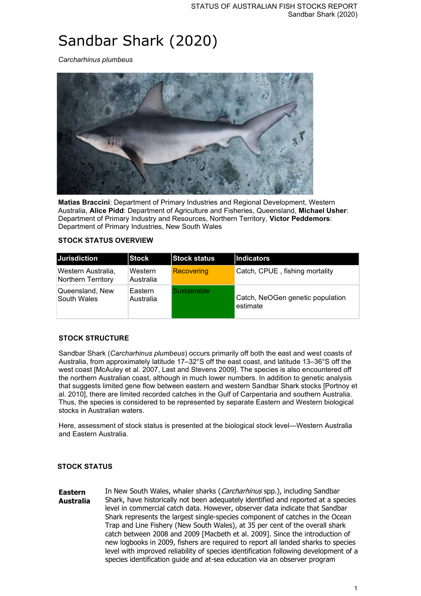# Sandbar Shark (2020)

*Carcharhinus plumbeus*



**Matias Braccini**: Department of Primary Industries and Regional Development, Western Australia, **Alice Pidd**: Department of Agriculture and Fisheries, Queensland, **Michael Usher**: Department of Primary Industry and Resources, Northern Territory, **Victor Peddemors**: Department of Primary Industries, New South Wales

#### **STOCK STATUS OVERVIEW**

| Jurisdiction                             | <b>Stock</b>                      | <b>Stock status</b> | <b>Indicators</b>                            |
|------------------------------------------|-----------------------------------|---------------------|----------------------------------------------|
| Western Australia,<br>Northern Territory | Western<br>Australia              | <b>Recovering</b>   | Catch, CPUE, fishing mortality               |
| Queensland, New<br>South Wales           | Eastern<br><sup>'</sup> Australia | Sustainable         | Catch, NeOGen genetic population<br>estimate |

#### **STOCK STRUCTURE**

Sandbar Shark (*Carcharhinus plumbeus*) occurs primarily off both the east and west coasts of Australia, from approximately latitude 17–32°S off the east coast, and latitude 13–36°S off the west coast [McAuley et al. 2007, Last and Stevens 2009]. The species is also encountered off the northern Australian coast, although in much lower numbers. In addition to genetic analysis that suggests limited gene flow between eastern and western Sandbar Shark stocks [Portnoy et al. 2010], there are limited recorded catches in the Gulf of Carpentaria and southern Australia. Thus, the species is considered to be represented by separate Eastern and Western biological stocks in Australian waters.

Here, assessment of stock status is presented at the biological stock level—Western Australia and Eastern Australia.

#### **STOCK STATUS**

**Eastern Australia** In New South Wales, whaler sharks (Carcharhinus spp.), including Sandbar Shark, have historically not been adequately identified and reported at a species level in commercial catch data. However, observer data indicate that Sandbar Shark represents the largest single-species component of catches in the Ocean Trap and Line Fishery (New South Wales), at 35 per cent of the overall shark catch between 2008 and 2009 [Macbeth et al. 2009]. Since the introduction of new logbooks in 2009, fishers are required to report all landed sharks to species level with improved reliability of species identification following development of a species identification guide and at-sea education via an observer program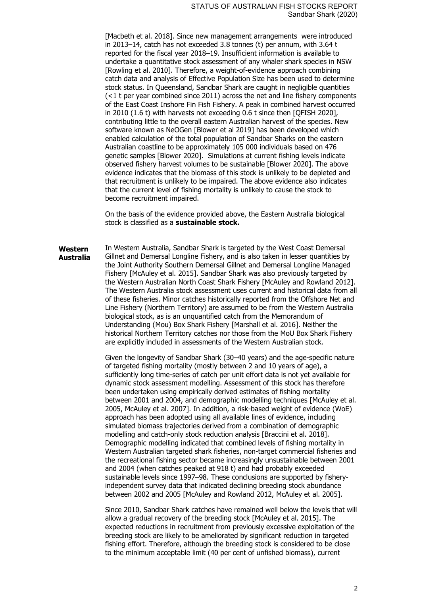[Macbeth et al. 2018]. Since new management arrangements were introduced in 2013–14, catch has not exceeded 3.8 tonnes (t) per annum, with 3.64 t reported for the fiscal year 2018–19. Insufficient information is available to undertake a quantitative stock assessment of any whaler shark species in NSW [Rowling et al. 2010]. Therefore, a weight-of-evidence approach combining catch data and analysis of Effective Population Size has been used to determine stock status. In Queensland, Sandbar Shark are caught in negligible quantities (<1 t per year combined since 2011) across the net and line fishery components of the East Coast Inshore Fin Fish Fishery. A peak in combined harvest occurred in 2010 (1.6 t) with harvests not exceeding 0.6 t since then [QFISH 2020], contributing little to the overall eastern Australian harvest of the species. New software known as NeOGen [Blower et al 2019] has been developed which enabled calculation of the total population of Sandbar Sharks on the eastern Australian coastline to be approximately 105 000 individuals based on 476 genetic samples [Blower 2020]. Simulations at current fishing levels indicate observed fishery harvest volumes to be sustainable [Blower 2020]. The above evidence indicates that the biomass of this stock is unlikely to be depleted and that recruitment is unlikely to be impaired. The above evidence also indicates that the current level of fishing mortality is unlikely to cause the stock to become recruitment impaired.

On the basis of the evidence provided above, the Eastern Australia biological stock is classified as a **sustainable stock.**

**Western Australia** In Western Australia, Sandbar Shark is targeted by the West Coast Demersal Gillnet and Demersal Longline Fishery, and is also taken in lesser quantities by the Joint Authority Southern Demersal Gillnet and Demersal Longline Managed Fishery [McAuley et al. 2015]. Sandbar Shark was also previously targeted by the Western Australian North Coast Shark Fishery [McAuley and Rowland 2012]. The Western Australia stock assessment uses current and historical data from all of these fisheries. Minor catches historically reported from the Offshore Net and Line Fishery (Northern Territory) are assumed to be from the Western Australia biological stock, as is an unquantified catch from the Memorandum of Understanding (Mou) Box Shark Fishery [Marshall et al. 2016]. Neither the historical Northern Territory catches nor those from the MoU Box Shark Fishery are explicitly included in assessments of the Western Australian stock.

> Given the longevity of Sandbar Shark (30–40 years) and the age-specific nature of targeted fishing mortality (mostly between 2 and 10 years of age), a sufficiently long time-series of catch per unit effort data is not yet available for dynamic stock assessment modelling. Assessment of this stock has therefore been undertaken using empirically derived estimates of fishing mortality between 2001 and 2004, and demographic modelling techniques [McAuley et al. 2005, McAuley et al. 2007]. In addition, a risk-based weight of evidence (WoE) approach has been adopted using all available lines of evidence, including simulated biomass trajectories derived from a combination of demographic modelling and catch-only stock reduction analysis [Braccini et al. 2018]. Demographic modelling indicated that combined levels of fishing mortality in Western Australian targeted shark fisheries, non-target commercial fisheries and the recreational fishing sector became increasingly unsustainable between 2001 and 2004 (when catches peaked at 918 t) and had probably exceeded sustainable levels since 1997–98. These conclusions are supported by fisheryindependent survey data that indicated declining breeding stock abundance between 2002 and 2005 [McAuley and Rowland 2012, McAuley et al. 2005].

> Since 2010, Sandbar Shark catches have remained well below the levels that will allow a gradual recovery of the breeding stock [McAuley et al. 2015]. The expected reductions in recruitment from previously excessive exploitation of the breeding stock are likely to be ameliorated by significant reduction in targeted fishing effort. Therefore, although the breeding stock is considered to be close to the minimum acceptable limit (40 per cent of unfished biomass), current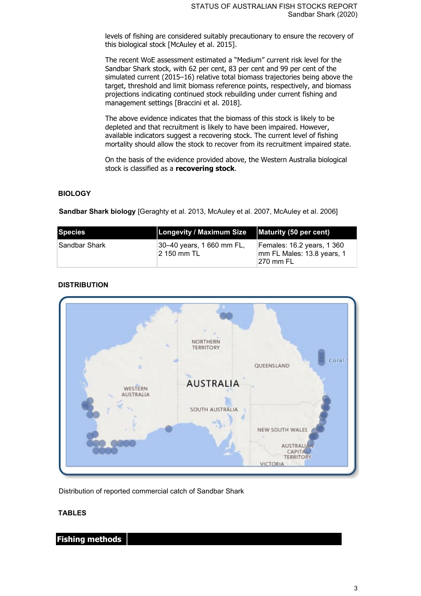levels of fishing are considered suitably precautionary to ensure the recovery of this biological stock [McAuley et al. 2015].

The recent WoE assessment estimated a "Medium" current risk level for the Sandbar Shark stock, with 62 per cent, 83 per cent and 99 per cent of the simulated current (2015–16) relative total biomass trajectories being above the target, threshold and limit biomass reference points, respectively, and biomass projections indicating continued stock rebuilding under current fishing and management settings [Braccini et al. 2018].

The above evidence indicates that the biomass of this stock is likely to be depleted and that recruitment is likely to have been impaired. However, available indicators suggest a recovering stock. The current level of fishing mortality should allow the stock to recover from its recruitment impaired state.

On the basis of the evidence provided above, the Western Australia biological stock is classified as a **recovering stock**.

#### **BIOLOGY**

**Sandbar Shark biology** [Geraghty et al. 2013, McAuley et al. 2007, McAuley et al. 2006]

| Species        | Longevity / Maximum Size                 | Maturity (50 per cent)                                                 |
|----------------|------------------------------------------|------------------------------------------------------------------------|
| ∣Sandbar Shark | 30–40 years, 1 660 mm FL,<br>2 150 mm TL | Females: 16.2 years, 1 360<br>mm FL Males: 13.8 years, 1<br>∣270 mm FL |

### **DISTRIBUTION**



Distribution of reported commercial catch of Sandbar Shark

#### **TABLES**

**Fishing methods**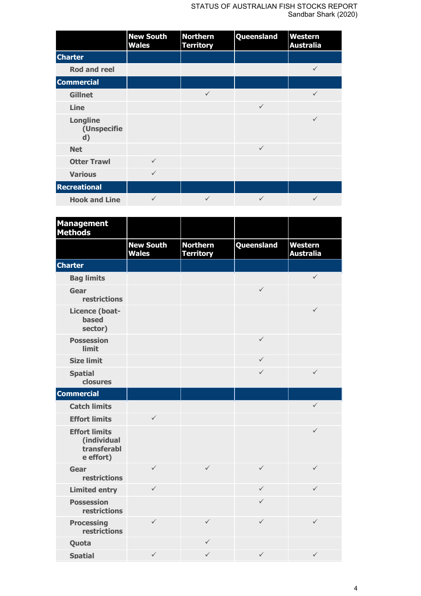#### STATUS OF AUSTRALIAN FISH STOCKS REPORT Sandbar Shark (2020)

|                                                | <b>New South</b><br><b>Wales</b> | <b>Northern</b><br><b>Territory</b> | Queensland   | Western<br><b>Australia</b> |
|------------------------------------------------|----------------------------------|-------------------------------------|--------------|-----------------------------|
| <b>Charter</b>                                 |                                  |                                     |              |                             |
| <b>Rod and reel</b>                            |                                  |                                     |              | $\checkmark$                |
| <b>Commercial</b>                              |                                  |                                     |              |                             |
| <b>Gillnet</b>                                 |                                  | $\checkmark$                        |              | $\checkmark$                |
| Line                                           |                                  |                                     | $\checkmark$ |                             |
| <b>Longline</b><br>(Unspecifie<br>$\mathbf{d}$ |                                  |                                     |              | $\checkmark$                |
| <b>Net</b>                                     |                                  |                                     | $\checkmark$ |                             |
| <b>Otter Trawl</b>                             | $\checkmark$                     |                                     |              |                             |
| <b>Various</b>                                 | $\checkmark$                     |                                     |              |                             |
| <b>Recreational</b>                            |                                  |                                     |              |                             |
| <b>Hook and Line</b>                           | $\checkmark$                     | $\checkmark$                        | $\checkmark$ | $\checkmark$                |

| <b>Management</b><br><b>Methods</b>                             |                                  |                                     |              |                             |
|-----------------------------------------------------------------|----------------------------------|-------------------------------------|--------------|-----------------------------|
|                                                                 | <b>New South</b><br><b>Wales</b> | <b>Northern</b><br><b>Territory</b> | Queensland   | Western<br><b>Australia</b> |
| <b>Charter</b>                                                  |                                  |                                     |              |                             |
| <b>Bag limits</b>                                               |                                  |                                     |              | $\checkmark$                |
| Gear<br>restrictions                                            |                                  |                                     | ✓            |                             |
| Licence (boat-<br><b>based</b><br>sector)                       |                                  |                                     |              | $\checkmark$                |
| <b>Possession</b><br><b>limit</b>                               |                                  |                                     | $\checkmark$ |                             |
| <b>Size limit</b>                                               |                                  |                                     | ✓            |                             |
| <b>Spatial</b><br>closures                                      |                                  |                                     | ✓            | $\checkmark$                |
| <b>Commercial</b>                                               |                                  |                                     |              |                             |
| <b>Catch limits</b>                                             |                                  |                                     |              | $\checkmark$                |
| <b>Effort limits</b>                                            | $\checkmark$                     |                                     |              |                             |
| <b>Effort limits</b><br>(individual<br>transferabl<br>e effort) |                                  |                                     |              | $\checkmark$                |
| Gear<br>restrictions                                            | $\checkmark$                     | $\checkmark$                        | ✓            | $\checkmark$                |
| <b>Limited entry</b>                                            | $\checkmark$                     |                                     | ✓            | $\checkmark$                |
| <b>Possession</b><br>restrictions                               |                                  |                                     | ✓            |                             |
| <b>Processing</b><br>restrictions                               | $\checkmark$                     | ✓                                   | $\checkmark$ | $\checkmark$                |
| Quota                                                           |                                  | ✓                                   |              |                             |
| <b>Spatial</b>                                                  | $\checkmark$                     | ✓                                   | $\checkmark$ | $\checkmark$                |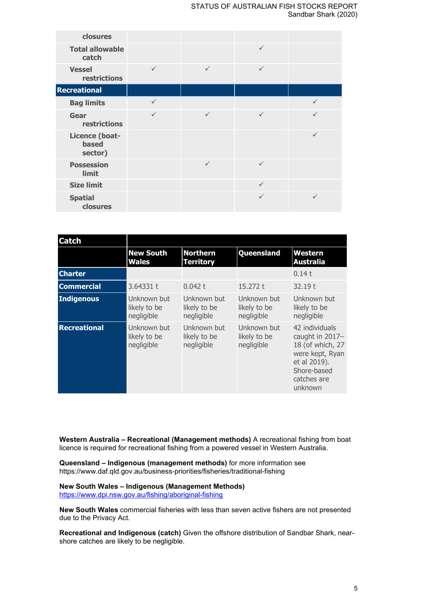| closures                                  |              |              |              |              |
|-------------------------------------------|--------------|--------------|--------------|--------------|
| <b>Total allowable</b><br>catch           |              |              | $\checkmark$ |              |
| <b>Vessel</b><br>restrictions             | ✓            | $\checkmark$ | $\checkmark$ |              |
| <b>Recreational</b>                       |              |              |              |              |
| <b>Bag limits</b>                         | $\checkmark$ |              |              | $\checkmark$ |
| Gear<br>restrictions                      | $\checkmark$ | $\checkmark$ | $\checkmark$ |              |
| Licence (boat-<br><b>based</b><br>sector) |              |              |              | $\checkmark$ |
| <b>Possession</b><br>limit                |              | $\checkmark$ | $\checkmark$ |              |
| <b>Size limit</b>                         |              |              | $\checkmark$ |              |
| <b>Spatial</b><br>closures                |              |              | ✓            | ✓            |

| <b>Catch</b>        |                                           |                                           |                                           |                                                                                                                                   |
|---------------------|-------------------------------------------|-------------------------------------------|-------------------------------------------|-----------------------------------------------------------------------------------------------------------------------------------|
|                     | <b>New South</b><br><b>Wales</b>          | <b>Northern</b><br><b>Territory</b>       | Queensland                                | Western<br><b>Australia</b>                                                                                                       |
| <b>Charter</b>      |                                           |                                           |                                           | 0.14 t                                                                                                                            |
| <b>Commercial</b>   | 3.64331 t                                 | 0.042 t                                   | 15.272 t                                  | 32.19t                                                                                                                            |
| <b>Indigenous</b>   | Unknown but<br>likely to be<br>negligible | Unknown but<br>likely to be<br>negligible | Unknown but<br>likely to be<br>negligible | Unknown but<br>likely to be<br>negligible                                                                                         |
| <b>Recreational</b> | Unknown but<br>likely to be<br>negligible | Unknown but<br>likely to be<br>negligible | Unknown but<br>likely to be<br>negligible | 42 individuals<br>caught in 2017-<br>18 (of which, 27<br>were kept, Ryan<br>et al 2019).<br>Shore-based<br>catches are<br>unknown |

**Western Australia – Recreational (Management methods)** A recreational fishing from boat licence is required for recreational fishing from a powered vessel in Western Australia.

**Queensland – Indigenous (management methods)** for more information see https://www.daf.qld.gov.au/business-priorities/fisheries/traditional-fishing

**New South Wales – Indigenous (Management Methods)** <https://www.dpi.nsw.gov.au/fishing/aboriginal-fishing>

**New South Wales** commercial fisheries with less than seven active fishers are not presented due to the Privacy Act.

**Recreational and Indigenous (catch)** Given the offshore distribution of Sandbar Shark, nearshore catches are likely to be negligible.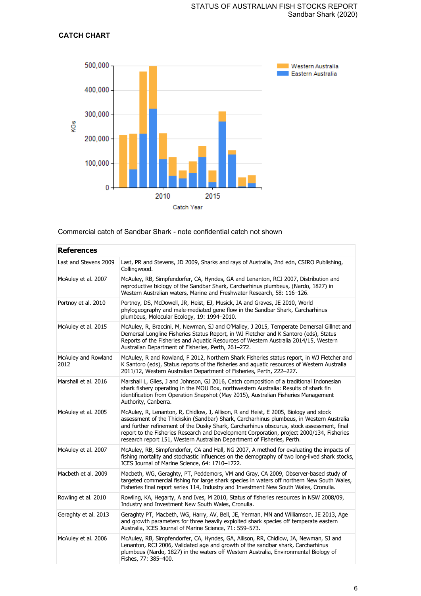## **CATCH CHART**



Commercial catch of Sandbar Shark - note confidential catch not shown

| <b>References</b>           |                                                                                                                                                                                                                                                                                                                                                                                                                                                       |
|-----------------------------|-------------------------------------------------------------------------------------------------------------------------------------------------------------------------------------------------------------------------------------------------------------------------------------------------------------------------------------------------------------------------------------------------------------------------------------------------------|
| Last and Stevens 2009       | Last, PR and Stevens, JD 2009, Sharks and rays of Australia, 2nd edn, CSIRO Publishing,<br>Collingwood.                                                                                                                                                                                                                                                                                                                                               |
| McAuley et al. 2007         | McAuley, RB, Simpfendorfer, CA, Hyndes, GA and Lenanton, RCJ 2007, Distribution and<br>reproductive biology of the Sandbar Shark, Carcharhinus plumbeus, (Nardo, 1827) in<br>Western Australian waters, Marine and Freshwater Research, 58: 116-126.                                                                                                                                                                                                  |
| Portnoy et al. 2010         | Portnoy, DS, McDowell, JR, Heist, EJ, Musick, JA and Graves, JE 2010, World<br>phylogeography and male-mediated gene flow in the Sandbar Shark, Carcharhinus<br>plumbeus, Molecular Ecology, 19: 1994-2010.                                                                                                                                                                                                                                           |
| McAuley et al. 2015         | McAuley, R, Braccini, M, Newman, SJ and O'Malley, J 2015, Temperate Demersal Gillnet and<br>Demersal Longline Fisheries Status Report, in WJ Fletcher and K Santoro (eds), Status<br>Reports of the Fisheries and Aquatic Resources of Western Australia 2014/15, Western<br>Australian Department of Fisheries, Perth, 261-272.                                                                                                                      |
| McAuley and Rowland<br>2012 | McAuley, R and Rowland, F 2012, Northern Shark Fisheries status report, in WJ Fletcher and<br>K Santoro (eds), Status reports of the fisheries and aquatic resources of Western Australia<br>2011/12, Western Australian Department of Fisheries, Perth, 222-227.                                                                                                                                                                                     |
| Marshall et al. 2016        | Marshall L, Giles, J and Johnson, GJ 2016, Catch composition of a traditional Indonesian<br>shark fishery operating in the MOU Box, northwestern Australia: Results of shark fin<br>identification from Operation Snapshot (May 2015), Australian Fisheries Management<br>Authority, Canberra.                                                                                                                                                        |
| McAuley et al. 2005         | McAuley, R, Lenanton, R, Chidlow, J, Allison, R and Heist, E 2005, Biology and stock<br>assessment of the Thickskin (Sandbar) Shark, Carcharhinus plumbeus, in Western Australia<br>and further refinement of the Dusky Shark, Carcharhinus obscurus, stock assessment, final<br>report to the Fisheries Research and Development Corporation, project 2000/134, Fisheries<br>research report 151, Western Australian Department of Fisheries, Perth. |
| McAuley et al. 2007         | McAuley, RB, Simpfendorfer, CA and Hall, NG 2007, A method for evaluating the impacts of<br>fishing mortality and stochastic influences on the demography of two long-lived shark stocks,<br>ICES Journal of Marine Science, 64: 1710-1722.                                                                                                                                                                                                           |
| Macbeth et al. 2009         | Macbeth, WG, Geraghty, PT, Peddemors, VM and Gray, CA 2009, Observer-based study of<br>targeted commercial fishing for large shark species in waters off northern New South Wales,<br>Fisheries final report series 114, Industry and Investment New South Wales, Cronulla.                                                                                                                                                                           |
| Rowling et al. 2010         | Rowling, KA, Hegarty, A and Ives, M 2010, Status of fisheries resources in NSW 2008/09,<br>Industry and Investment New South Wales, Cronulla.                                                                                                                                                                                                                                                                                                         |
| Geraghty et al. 2013        | Geraghty PT, Macbeth, WG, Harry, AV, Bell, JE, Yerman, MN and Williamson, JE 2013, Age<br>and growth parameters for three heavily exploited shark species off temperate eastern<br>Australia, ICES Journal of Marine Science, 71: 559-573.                                                                                                                                                                                                            |
| McAuley et al. 2006         | McAuley, RB, Simpfendorfer, CA, Hyndes, GA, Allison, RR, Chidlow, JA, Newman, SJ and<br>Lenanton, RCJ 2006, Validated age and growth of the sandbar shark, Carcharhinus<br>plumbeus (Nardo, 1827) in the waters off Western Australia, Environmental Biology of<br>Fishes, 77: 385-400.                                                                                                                                                               |